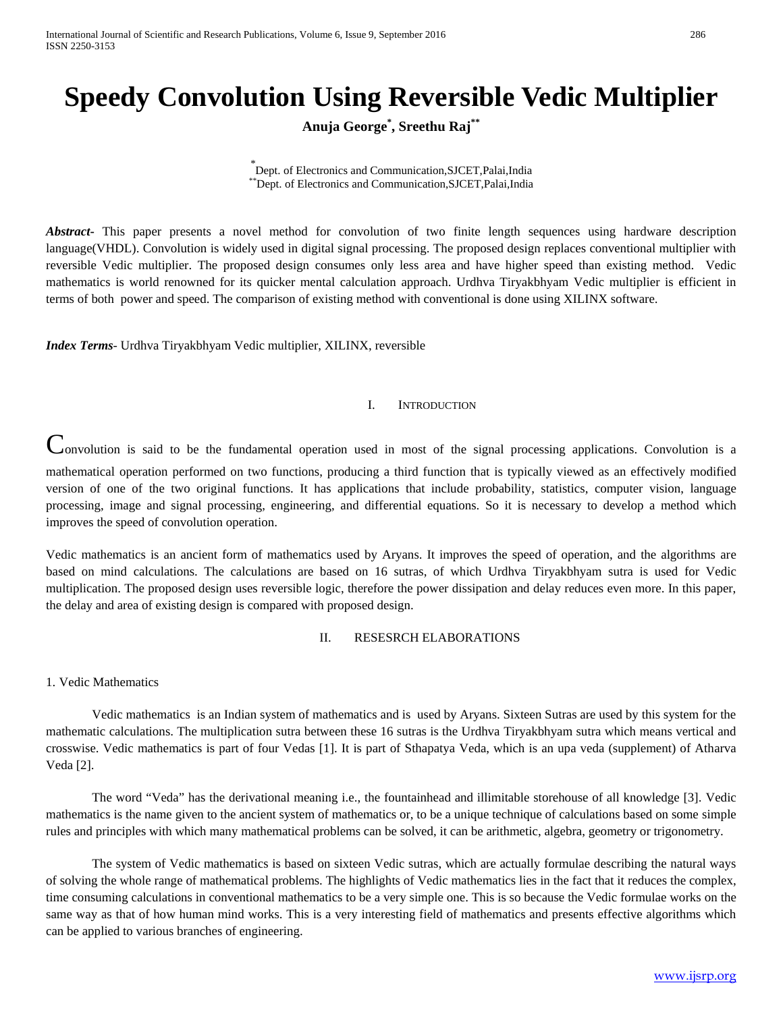# **Speedy Convolution Using Reversible Vedic Multiplier**

**Anuja George\* , Sreethu Raj\*\***

*\** Dept. of Electronics and Communication,SJCET,Palai,India \*\*Dept. of Electronics and Communication,SJCET,Palai,India

*Abstract***-** This paper presents a novel method for convolution of two finite length sequences using hardware description language(VHDL). Convolution is widely used in digital signal processing. The proposed design replaces conventional multiplier with reversible Vedic multiplier. The proposed design consumes only less area and have higher speed than existing method. Vedic mathematics is world renowned for its quicker mental calculation approach. Urdhva Tiryakbhyam Vedic multiplier is efficient in terms of both power and speed. The comparison of existing method with conventional is done using XILINX software.

*Index Terms*- Urdhva Tiryakbhyam Vedic multiplier, XILINX, reversible

# I. INTRODUCTION

Convolution is said to be the fundamental operation used in most of the signal processing applications. Convolution is a mathematical operation performed on two functions, producing a third function that is typically viewed as an effectively modified version of one of the two original functions. It has applications that include probability, statistics, computer vision, language processing, image and signal processing, engineering, and differential equations. So it is necessary to develop a method which improves the speed of convolution operation.

Vedic mathematics is an ancient form of mathematics used by Aryans. It improves the speed of operation, and the algorithms are based on mind calculations. The calculations are based on 16 sutras, of which Urdhva Tiryakbhyam sutra is used for Vedic multiplication. The proposed design uses reversible logic, therefore the power dissipation and delay reduces even more. In this paper, the delay and area of existing design is compared with proposed design.

# II. RESESRCH ELABORATIONS

1. Vedic Mathematics

Vedic mathematics is an Indian system of mathematics and is used by Aryans. Sixteen Sutras are used by this system for the mathematic calculations. The multiplication sutra between these 16 sutras is the Urdhva Tiryakbhyam sutra which means vertical and crosswise. Vedic mathematics is part of four Vedas [1]. It is part of Sthapatya Veda, which is an upa veda (supplement) of Atharva Veda [2].

The word "Veda" has the derivational meaning i.e., the fountainhead and illimitable storehouse of all knowledge [3]. Vedic mathematics is the name given to the ancient system of mathematics or, to be a unique technique of calculations based on some simple rules and principles with which many mathematical problems can be solved, it can be arithmetic, algebra, geometry or trigonometry.

The system of Vedic mathematics is based on sixteen Vedic sutras, which are actually formulae describing the natural ways of solving the whole range of mathematical problems. The highlights of Vedic mathematics lies in the fact that it reduces the complex, time consuming calculations in conventional mathematics to be a very simple one. This is so because the Vedic formulae works on the same way as that of how human mind works. This is a very interesting field of mathematics and presents effective algorithms which can be applied to various branches of engineering.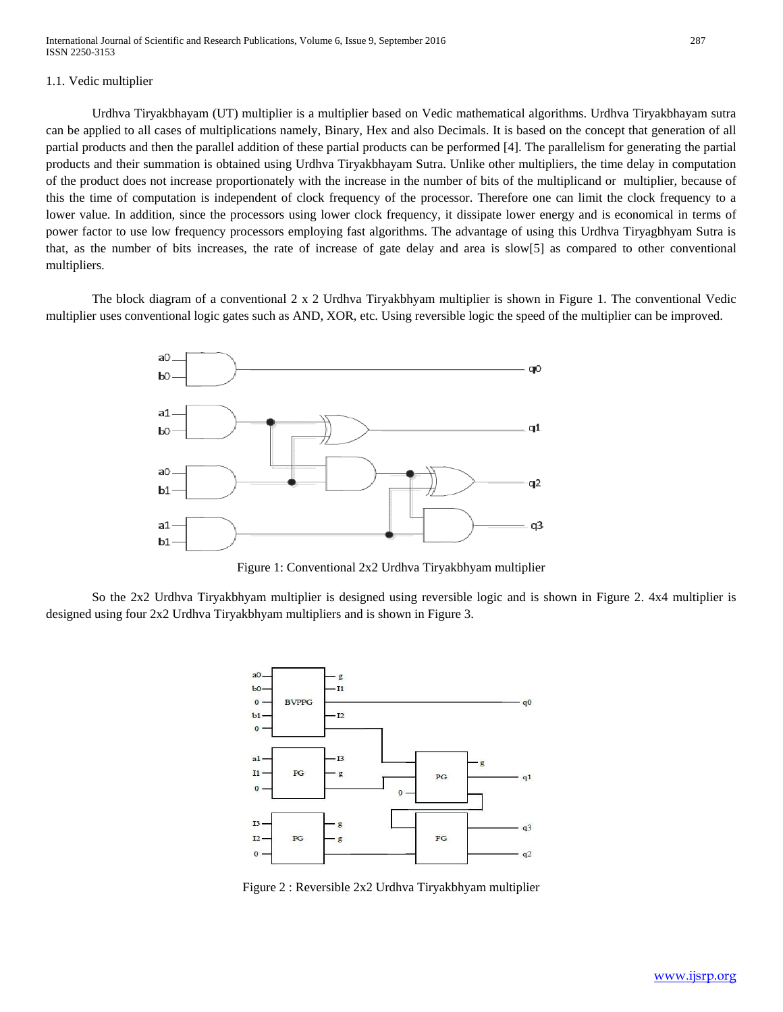# 1.1. Vedic multiplier

Urdhva Tiryakbhayam (UT) multiplier is a multiplier based on Vedic mathematical algorithms. Urdhva Tiryakbhayam sutra can be applied to all cases of multiplications namely, Binary, Hex and also Decimals. It is based on the concept that generation of all partial products and then the parallel addition of these partial products can be performed [4]. The parallelism for generating the partial products and their summation is obtained using Urdhva Tiryakbhayam Sutra. Unlike other multipliers, the time delay in computation of the product does not increase proportionately with the increase in the number of bits of the multiplicand or multiplier, because of this the time of computation is independent of clock frequency of the processor. Therefore one can limit the clock frequency to a lower value. In addition, since the processors using lower clock frequency, it dissipate lower energy and is economical in terms of power factor to use low frequency processors employing fast algorithms. The advantage of using this Urdhva Tiryagbhyam Sutra is that, as the number of bits increases, the rate of increase of gate delay and area is slow[5] as compared to other conventional multipliers.

The block diagram of a conventional 2 x 2 Urdhva Tiryakbhyam multiplier is shown in Figure 1. The conventional Vedic multiplier uses conventional logic gates such as AND, XOR, etc. Using reversible logic the speed of the multiplier can be improved.



Figure 1: Conventional 2x2 Urdhva Tiryakbhyam multiplier

So the 2x2 Urdhva Tiryakbhyam multiplier is designed using reversible logic and is shown in Figure 2. 4x4 multiplier is designed using four 2x2 Urdhva Tiryakbhyam multipliers and is shown in Figure 3.



Figure 2 : Reversible 2x2 Urdhva Tiryakbhyam multiplier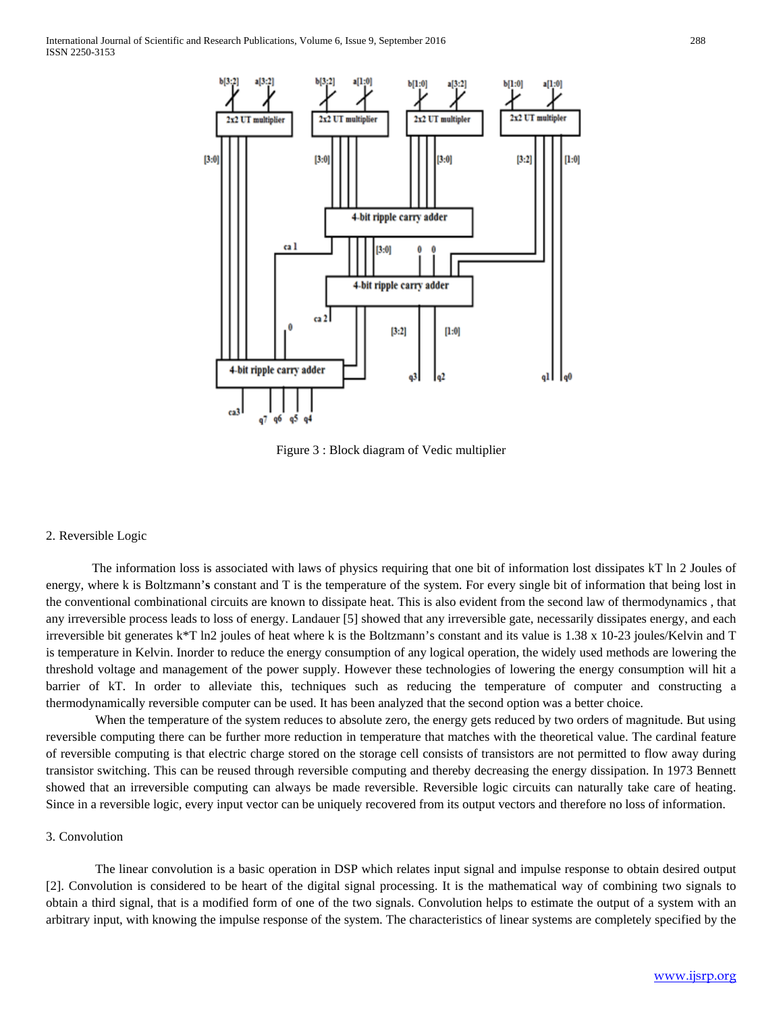

Figure 3 : Block diagram of Vedic multiplier

#### 2. Reversible Logic

The information loss is associated with laws of physics requiring that one bit of information lost dissipates kT ln 2 Joules of energy, where k is Boltzmann'**s** constant and T is the temperature of the system. For every single bit of information that being lost in the conventional combinational circuits are known to dissipate heat. This is also evident from the second law of thermodynamics , that any irreversible process leads to loss of energy. Landauer [5] showed that any irreversible gate, necessarily dissipates energy, and each irreversible bit generates k\*T ln2 joules of heat where k is the Boltzmann's constant and its value is 1.38 x 10-23 joules/Kelvin and T is temperature in Kelvin. Inorder to reduce the energy consumption of any logical operation, the widely used methods are lowering the threshold voltage and management of the power supply. However these technologies of lowering the energy consumption will hit a barrier of kT. In order to alleviate this, techniques such as reducing the temperature of computer and constructing a thermodynamically reversible computer can be used. It has been analyzed that the second option was a better choice.

When the temperature of the system reduces to absolute zero, the energy gets reduced by two orders of magnitude. But using reversible computing there can be further more reduction in temperature that matches with the theoretical value. The cardinal feature of reversible computing is that electric charge stored on the storage cell consists of transistors are not permitted to flow away during transistor switching. This can be reused through reversible computing and thereby decreasing the energy dissipation. In 1973 Bennett showed that an irreversible computing can always be made reversible. Reversible logic circuits can naturally take care of heating. Since in a reversible logic, every input vector can be uniquely recovered from its output vectors and therefore no loss of information.

#### 3. Convolution

The linear convolution is a basic operation in DSP which relates input signal and impulse response to obtain desired output [2]. Convolution is considered to be heart of the digital signal processing. It is the mathematical way of combining two signals to obtain a third signal, that is a modified form of one of the two signals. Convolution helps to estimate the output of a system with an arbitrary input, with knowing the impulse response of the system. The characteristics of linear systems are completely specified by the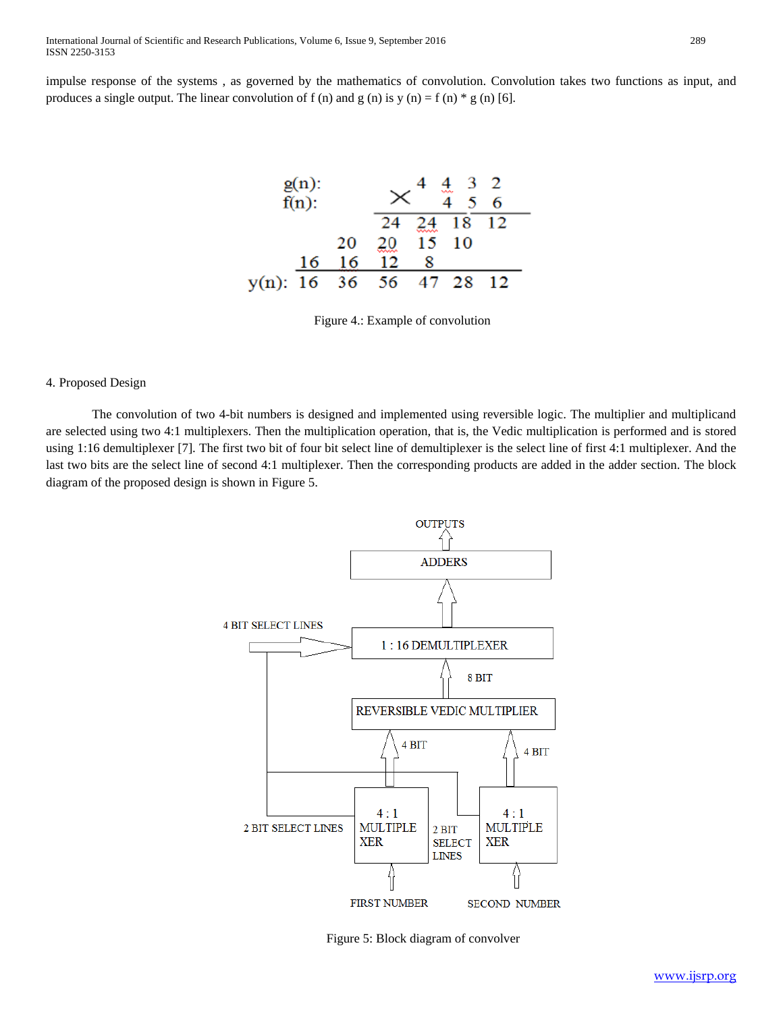impulse response of the systems , as governed by the mathematics of convolution. Convolution takes two functions as input, and produces a single output. The linear convolution of f (n) and g (n) is y (n) = f (n)  $*$  g (n) [6].



Figure 4.: Example of convolution

#### 4. Proposed Design

The convolution of two 4-bit numbers is designed and implemented using reversible logic. The multiplier and multiplicand are selected using two 4:1 multiplexers. Then the multiplication operation, that is, the Vedic multiplication is performed and is stored using 1:16 demultiplexer [7]. The first two bit of four bit select line of demultiplexer is the select line of first 4:1 multiplexer. And the last two bits are the select line of second 4:1 multiplexer. Then the corresponding products are added in the adder section. The block diagram of the proposed design is shown in Figure 5.



Figure 5: Block diagram of convolver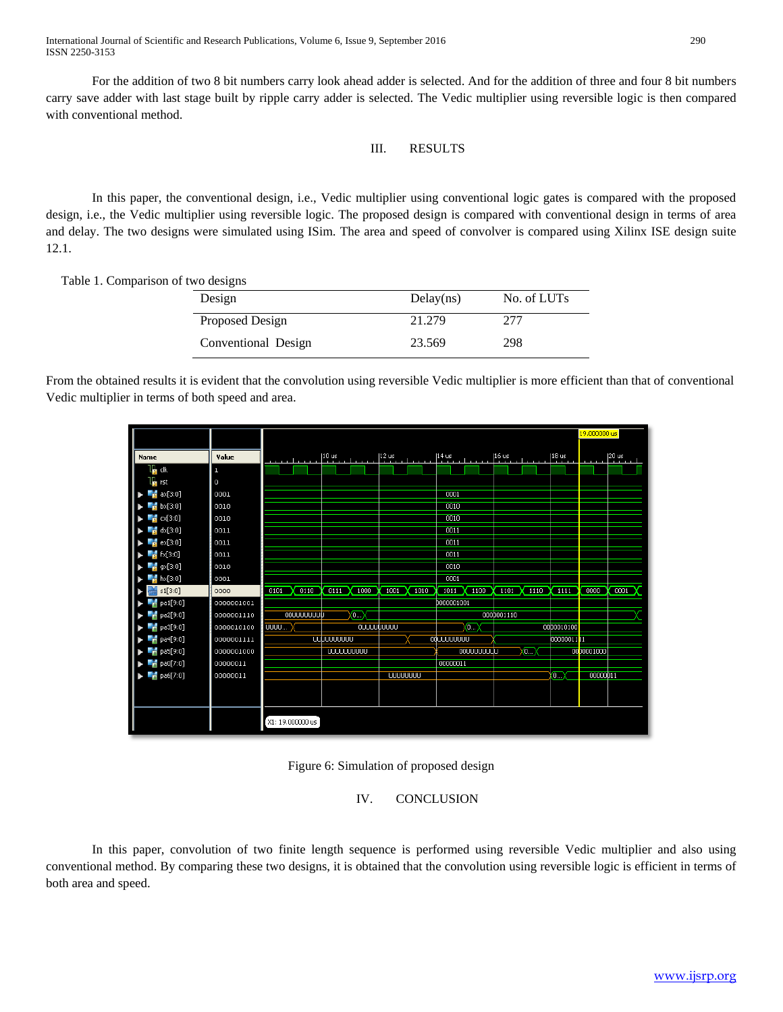For the addition of two 8 bit numbers carry look ahead adder is selected. And for the addition of three and four 8 bit numbers carry save adder with last stage built by ripple carry adder is selected. The Vedic multiplier using reversible logic is then compared with conventional method.

# III. RESULTS

In this paper, the conventional design, i.e., Vedic multiplier using conventional logic gates is compared with the proposed design, i.e., the Vedic multiplier using reversible logic. The proposed design is compared with conventional design in terms of area and delay. The two designs were simulated using ISim. The area and speed of convolver is compared using Xilinx ISE design suite 12.1.

Table 1. Comparison of two designs

| Design              | Delay(ns) | No. of LUTs |  |  |  |
|---------------------|-----------|-------------|--|--|--|
| Proposed Design     | 21.279    | 277         |  |  |  |
| Conventional Design | 23.569    | 298         |  |  |  |

From the obtained results it is evident that the convolution using reversible Vedic multiplier is more efficient than that of conventional Vedic multiplier in terms of both speed and area.

|                         |            |                   |                      |                  |                    |                    |                                    | 19,000000 us |                                                                         |
|-------------------------|------------|-------------------|----------------------|------------------|--------------------|--------------------|------------------------------------|--------------|-------------------------------------------------------------------------|
| Name                    | Value      | فتقرير الروازون   | $10$ us              | $12$ us          | $14$ us            | $16$ us            | 18 <sub>us</sub><br><b>COLLEGE</b> |              | $\left  \begin{smallmatrix} 20 & 45 \\ 1 & 1 \end{smallmatrix} \right $ |
| L <mark>a</mark> dk     | п          |                   |                      |                  |                    |                    |                                    |              |                                                                         |
| $\mathbf{r}$ rst        | $\circ$    |                   |                      |                  |                    |                    |                                    |              |                                                                         |
| ax[3:0]                 | 0001       |                   |                      |                  | 0001               |                    |                                    |              |                                                                         |
| $\frac{1}{2}$ bx[3:0]   | 0010       |                   |                      |                  | 0010               |                    |                                    |              |                                                                         |
| $\frac{1}{2}$ cx[3:0]   | 0010       |                   |                      |                  | 0010               |                    |                                    |              |                                                                         |
| $\frac{1}{2}$ dx[3:0]   | 0011       |                   |                      |                  | 0011               |                    |                                    |              |                                                                         |
| $\frac{1}{2}$ ex[3:0]   | 0011       |                   |                      |                  | 0011               |                    |                                    |              |                                                                         |
| $\frac{1}{2}$ fx[3:0]   | 0011       |                   |                      |                  | 0011               |                    |                                    |              |                                                                         |
| $\frac{1}{2}$ gx[3:0]   | 0010       |                   |                      |                  | 0010               |                    |                                    |              |                                                                         |
| $h$ hx[3:0]             | 0001       |                   |                      |                  | 0001               |                    |                                    |              |                                                                         |
| $\frac{1}{100}$ s1[3:0] | 0000       | 0110<br>0101      | $0111$ X<br>1000     | 1001<br>$X$ 1010 | 1011<br>1100       | $1101 \times 1110$ | 1111                               | 0000         | 0001                                                                    |
| pa1[9:0]                | 0000001001 |                   |                      |                  | D000001001         |                    |                                    |              |                                                                         |
| $6$ pa2[9:0]            | 0000001110 | <b>OOUUUUUUUU</b> | $\subset$            |                  |                    | 000D001110         |                                    |              |                                                                         |
| $6$ pa3[9:0]            | 0000010100 | UUUU              | ουυυυύυυυυ           |                  | ⌒                  |                    | 0000010100                         |              |                                                                         |
| $6$ pa4[9:0]            | 0000001111 |                   |                      |                  | OQUUUUUUUU         |                    | 000000111                          |              |                                                                         |
| $6$ pa5[9:0]            | 0000001000 |                   | <b>UUUUUUUUUU</b> UU |                  | <b>OOUUUUUUUUU</b> | ⋒                  |                                    | 0000001000   |                                                                         |
| $\frac{1}{6}$ pa0[7:0]  | 00000011   |                   |                      |                  | 00000011           |                    |                                    |              |                                                                         |
| $6$ pa6[7:0]            | 00000011   |                   |                      | <b>UUUUUUUU</b>  |                    |                    | $\overline{0}$                     | 00000011     |                                                                         |
|                         |            |                   |                      |                  |                    |                    |                                    |              |                                                                         |
|                         |            |                   |                      |                  |                    |                    |                                    |              |                                                                         |
|                         |            |                   |                      |                  |                    |                    |                                    |              |                                                                         |
|                         |            | X1: 19.000000 us  |                      |                  |                    |                    |                                    |              |                                                                         |

# Figure 6: Simulation of proposed design

# IV. CONCLUSION

In this paper, convolution of two finite length sequence is performed using reversible Vedic multiplier and also using conventional method. By comparing these two designs, it is obtained that the convolution using reversible logic is efficient in terms of both area and speed.